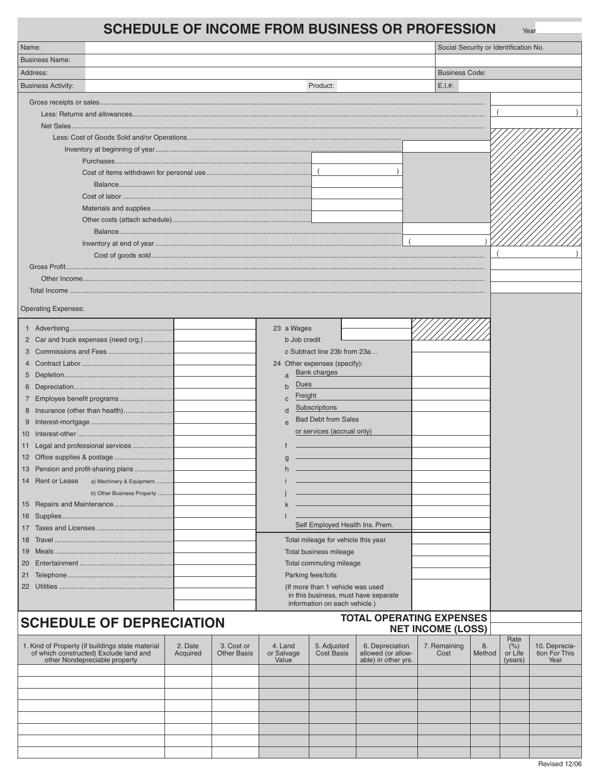## **SCHEDULE OF INCOME FROM BUSINESS OR PROFESSION**

| <b>SCHEDULE OF INCOME FROM BUSINESS OR PROFESSION</b>                                                                       |          |                    |                         |                                      |                                           |                                       |                       |                    | Year                  |  |  |
|-----------------------------------------------------------------------------------------------------------------------------|----------|--------------------|-------------------------|--------------------------------------|-------------------------------------------|---------------------------------------|-----------------------|--------------------|-----------------------|--|--|
| Name:                                                                                                                       |          |                    |                         |                                      |                                           | Social Security or Identification No. |                       |                    |                       |  |  |
| <b>Business Name:</b>                                                                                                       |          |                    |                         |                                      |                                           |                                       |                       |                    |                       |  |  |
| Address:                                                                                                                    |          |                    |                         |                                      |                                           |                                       | <b>Business Code:</b> |                    |                       |  |  |
| <b>Business Activity:</b>                                                                                                   | Product: |                    |                         |                                      |                                           |                                       |                       | E.I.#:             |                       |  |  |
|                                                                                                                             |          |                    |                         |                                      |                                           |                                       |                       |                    |                       |  |  |
|                                                                                                                             |          |                    |                         |                                      |                                           |                                       |                       |                    |                       |  |  |
|                                                                                                                             |          |                    |                         |                                      |                                           |                                       |                       |                    |                       |  |  |
|                                                                                                                             |          |                    |                         |                                      |                                           |                                       |                       |                    |                       |  |  |
|                                                                                                                             |          |                    |                         |                                      |                                           |                                       |                       |                    |                       |  |  |
|                                                                                                                             |          |                    |                         |                                      |                                           |                                       |                       |                    |                       |  |  |
|                                                                                                                             |          |                    |                         | $\overline{ }$                       |                                           |                                       |                       |                    |                       |  |  |
|                                                                                                                             |          |                    |                         |                                      |                                           |                                       |                       |                    |                       |  |  |
|                                                                                                                             |          |                    |                         |                                      |                                           |                                       |                       |                    |                       |  |  |
|                                                                                                                             |          |                    |                         |                                      |                                           |                                       |                       |                    |                       |  |  |
|                                                                                                                             |          |                    |                         |                                      |                                           |                                       |                       |                    |                       |  |  |
|                                                                                                                             |          |                    |                         |                                      |                                           |                                       |                       |                    |                       |  |  |
|                                                                                                                             |          |                    |                         |                                      |                                           |                                       |                       |                    |                       |  |  |
|                                                                                                                             |          |                    |                         |                                      |                                           |                                       |                       |                    |                       |  |  |
|                                                                                                                             |          |                    |                         |                                      |                                           |                                       |                       |                    |                       |  |  |
|                                                                                                                             |          |                    |                         |                                      |                                           |                                       |                       |                    |                       |  |  |
|                                                                                                                             |          |                    |                         |                                      |                                           |                                       |                       |                    |                       |  |  |
| <b>Operating Expenses:</b>                                                                                                  |          |                    |                         |                                      |                                           |                                       |                       |                    |                       |  |  |
|                                                                                                                             |          |                    |                         |                                      |                                           |                                       |                       |                    |                       |  |  |
|                                                                                                                             |          |                    | 23 a Wages              |                                      |                                           |                                       |                       |                    |                       |  |  |
| 2 Car and truck expenses (need org.)                                                                                        |          |                    | b Job credit            |                                      |                                           |                                       |                       |                    |                       |  |  |
|                                                                                                                             |          |                    |                         | c Subtract line 23b from 23a         |                                           |                                       |                       |                    |                       |  |  |
|                                                                                                                             |          |                    |                         | 24 Other expenses (specify):         |                                           |                                       |                       |                    |                       |  |  |
|                                                                                                                             |          |                    | $\overline{a}$          | <b>Bank charges</b>                  |                                           |                                       |                       |                    |                       |  |  |
|                                                                                                                             |          |                    | Dues<br>$\mathbf b$     |                                      |                                           |                                       |                       |                    |                       |  |  |
| 7 Employee benefit programs                                                                                                 |          |                    | Freight<br>$\mathbf{C}$ | Subscriptions                        |                                           |                                       |                       |                    |                       |  |  |
| 8 Insurance (other than health)                                                                                             |          |                    | d                       | <b>Bad Debt from Sales</b>           |                                           |                                       |                       |                    |                       |  |  |
|                                                                                                                             |          |                    | $\mathbf{e}$            | or services (accrual only)           |                                           |                                       |                       |                    |                       |  |  |
|                                                                                                                             |          |                    |                         |                                      |                                           |                                       |                       |                    |                       |  |  |
| 11 Legal and professional services                                                                                          |          |                    |                         |                                      |                                           |                                       |                       |                    |                       |  |  |
|                                                                                                                             |          |                    | q                       |                                      |                                           |                                       |                       |                    |                       |  |  |
| 13 Pension and profit-sharing plans                                                                                         |          |                    |                         |                                      |                                           |                                       |                       |                    |                       |  |  |
| 14 Rent or Lease<br>a) Machinery & Equipment                                                                                |          |                    |                         |                                      |                                           |                                       |                       |                    |                       |  |  |
| b) Other Business Property                                                                                                  |          |                    |                         |                                      |                                           |                                       |                       |                    |                       |  |  |
|                                                                                                                             |          |                    |                         |                                      |                                           |                                       |                       |                    |                       |  |  |
|                                                                                                                             |          |                    |                         | Self Employed Health Ins. Prem.      |                                           |                                       |                       |                    |                       |  |  |
|                                                                                                                             |          |                    |                         | Total mileage for vehicle this year  |                                           |                                       |                       |                    |                       |  |  |
| 19                                                                                                                          |          |                    |                         | Total business mileage               |                                           |                                       |                       |                    |                       |  |  |
| 20                                                                                                                          |          |                    |                         | Total commuting mileage              |                                           |                                       |                       |                    |                       |  |  |
|                                                                                                                             |          |                    |                         | Parking fees/tolls                   |                                           |                                       |                       |                    |                       |  |  |
|                                                                                                                             |          |                    |                         | (If more than 1 vehicle was used     |                                           |                                       |                       |                    |                       |  |  |
|                                                                                                                             |          |                    |                         | in this business, must have separate |                                           |                                       |                       |                    |                       |  |  |
|                                                                                                                             |          |                    |                         | information on each vehicle.)        |                                           |                                       |                       |                    |                       |  |  |
| <b>SCHEDULE OF DEPRECIATION</b>                                                                                             |          |                    |                         |                                      | <b>TOTAL OPERATING EXPENSES</b>           |                                       |                       |                    |                       |  |  |
|                                                                                                                             |          |                    |                         |                                      |                                           | <b>NET INCOME (LOSS)</b>              |                       |                    |                       |  |  |
|                                                                                                                             | 2. Date  | 3. Cost or         | 4. Land                 | 5. Adjusted                          | 6. Depreciation                           | 7. Remaining                          | 8.                    | Rate<br>(% )       | 10. Deprecia-         |  |  |
| 1. Kind of Property (if buildings state material<br>of which constructed) Exclude land and<br>other Nondepreciable property | Acquired | <b>Other Basis</b> | or Salvage<br>Value     | <b>Cost Basis</b>                    | allowed (or allow-<br>able) in other yrs. | Cost                                  | Method                | or Life<br>(years) | tion For This<br>Year |  |  |
|                                                                                                                             |          |                    |                         |                                      |                                           |                                       |                       |                    |                       |  |  |
|                                                                                                                             |          |                    |                         |                                      |                                           |                                       |                       |                    |                       |  |  |
|                                                                                                                             |          |                    |                         |                                      |                                           |                                       |                       |                    |                       |  |  |
|                                                                                                                             |          |                    |                         |                                      |                                           |                                       |                       |                    |                       |  |  |